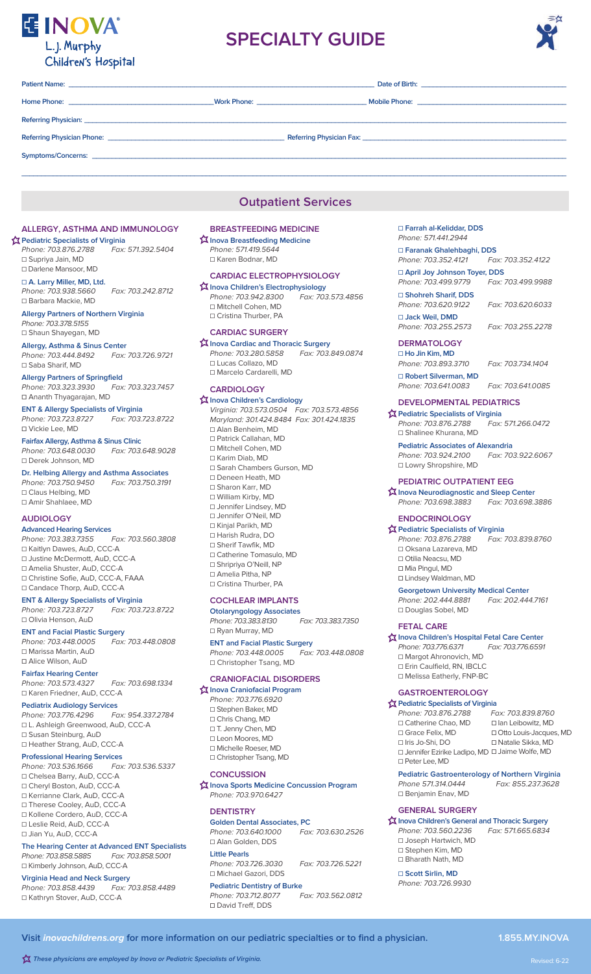

# **SPECIALTY GUIDE**



# **Patient Name: \_\_\_\_\_\_\_\_\_\_\_\_\_\_\_\_\_\_\_\_\_\_\_\_\_\_\_\_\_\_\_\_\_\_\_\_\_\_\_\_\_\_\_\_\_\_\_\_\_\_\_\_\_\_\_\_\_\_\_\_\_\_\_\_\_\_\_\_\_\_\_\_\_\_\_\_\_\_ Date of Birth: \_\_\_\_\_\_\_\_\_\_\_\_\_\_\_\_\_\_\_\_\_\_\_\_\_\_\_\_\_\_\_\_\_\_\_\_\_ Home Phone: \_\_\_\_\_\_\_\_\_\_\_\_\_\_\_\_\_\_\_\_\_\_\_\_\_\_\_\_\_\_\_\_\_\_\_\_\_Work Phone: \_\_\_\_\_\_\_\_\_\_\_\_\_\_\_\_\_\_\_\_\_\_\_\_\_\_\_\_ Mobile Phone: \_\_\_\_\_\_\_\_\_\_\_\_\_\_\_\_\_\_\_\_\_\_\_\_\_\_\_\_\_\_\_\_\_\_\_\_\_\_** Referring Physician: **Referring Physician Phone: \_\_\_\_\_\_\_\_\_\_\_\_\_\_\_\_\_\_\_\_\_\_\_\_\_\_\_\_\_\_\_\_\_\_\_\_\_\_\_\_\_\_\_\_\_ Referring Physician Fax: \_\_\_\_\_\_\_\_\_\_\_\_\_\_\_\_\_\_\_\_\_\_\_\_\_\_\_\_\_\_\_\_\_\_\_\_\_\_\_\_\_\_\_\_\_\_\_\_\_\_\_\_** Symptoms/Concerns: \_ **\_\_\_\_\_\_\_\_\_\_\_\_\_\_\_\_\_\_\_\_\_\_\_\_\_\_\_\_\_\_\_\_\_\_\_\_\_\_\_\_\_\_\_\_\_\_\_\_\_\_\_\_\_\_\_\_\_\_\_\_\_\_\_\_\_\_\_\_\_\_\_\_\_\_\_\_\_\_\_\_\_\_\_\_\_\_\_\_\_\_\_\_\_\_\_\_\_\_\_\_\_\_\_\_\_\_\_\_\_\_\_\_\_\_\_\_\_\_\_\_\_\_\_\_\_\_\_\_\_\_\_\_\_\_\_\_\_\_\_**

# **Outpatient Services**

#### **ALLERGY, ASTHMA AND IMMUNOLOGY Pediatric Specialists of Virginia**

Phone: 703.876.2788 Fax: 571.392.5404 ☐ Supriya Jain, MD ☐ Darlene Mansoor, MD

☐ **A. Larry Miller, MD, Ltd.** Phone: 703.938.5660 Fax: 703.242.8712 ☐ Barbara Mackie, MD

**Allergy Partners of Northern Virginia** Phone: 703.378.5155 □ Shaun Shayegan, MD

**Allergy, Asthma & Sinus Center** Phone: 703.444.8492 Fax: 703.726.9721 ☐ Saba Sharif, MD

**Allergy Partners of Springfield** Phone: 703.323.3930 Fax: 703.323.7457 **☐** Ananth Thyagarajan, MD

**ENT & Allergy Specialists of Virginia**  Phone: 703.723.8727 **☐** Vickie Lee, MD

**Fairfax Allergy, Asthma & Sinus Clinic** Phone: 703.648.0030 Fax: 703.648.9028 ☐ Derek Johnson, MD

**Dr. Helbing Allergy and Asthma Associates** Phone: 703.750.9450 ☐ Claus Helbing, MD ☐ Amir Shahlaee, MD

### **AUDIOLOGY**

- **Advanced Hearing Services** Phone: 703.383.7355 ☐ Kaitlyn Dawes, AuD, CCC-A ☐ Justine McDermott, AuD, CCC-A ☐ Amelia Shuster, AuD, CCC-A ☐ Christine Sofie, AuD, CCC-A, FAAA
- □ Candace Thorp, AuD, CCC-A

**ENT & Allergy Specialists of Virginia** Phone: 703.723.8727 ☐ Olivia Henson, AuD **ENT and Facial Plastic Surgery**

Phone: 703.448.0005 Fax: 703.448.0808 ☐ Marissa Martin, AuD **☐** Alice Wilson, AuD

# **Fairfax Hearing Center**

Phone: 703.573.4327 Fax: 703.698.1334 ☐ Karen Friedner, AuD, CCC-A

## **Pediatrix Audiology Services**

Phone: 703.776.4296 Fax: 954.337.2784 ☐ L. Ashleigh Greenwood, AuD, CCC-A □ Susan Steinburg, AuD

- ☐ Heather Strang, AuD, CCC-A
- **Professional Hearing Services** Phone: 703.536.1666
- ☐ Chelsea Barry, AuD, CCC-A
- ☐ Cheryl Boston, AuD, CCC-A
- ☐ Kerrianne Clark, AuD, CCC-A
- ☐ Therese Cooley, AuD, CCC-A
- ☐ Kollene Cordero, AuD, CCC-A
- ☐ Leslie Reid, AuD, CCC-A ☐ Jian Yu, AuD, CCC-A

# **The Hearing Center at Advanced ENT Specialists**

Phone: 703.858.5885 Fax: 703.858.5001 ☐ Kimberly Johnson, AuD, CCC-A

# **Virginia Head and Neck Surgery**

Phone: 703.858.4439 Fax: 703.858.4489 ☐ Kathryn Stover, AuD, CCC-A

#### **BREASTFEEDING MEDICINE Inova Breastfeeding Medicine**

Phone: 571.419.5644 ☐ Karen Bodnar, MD

#### **CARDIAC ELECTROPHYSIOLOGY**

**Inova Children's Electrophysiology** Phone: 703.942.8300 Fax: 703.573.4856 ☐ Mitchell Cohen, MD ☐ Cristina Thurber, PA

#### **CARDIAC SURGERY**

**Inova Cardiac and Thoracic Surgery<br>Phone: 703.280.5858** Fax: 703.849.0874 Phone: 703.280.5858 ☐ Lucas Collazo, MD ☐ Marcelo Cardarelli, MD

#### **CARDIOLOGY**

**Inova Children's Cardiology** Virginia: 703.573.0504 Fax: 703.573.4856 Maryland: 301.424.8484 Fax: 301.424.1835 ☐ Alan Benheim, MD ☐ Patrick Callahan, MD ☐ Mitchell Cohen, MD ☐ Karim Diab, MD ☐ Sarah Chambers Gurson, MD ☐ Deneen Heath, MD ☐ Sharon Karr, MD ☐ William Kirby, MD ☐ Jennifer Lindsey, MD ☐ Jennifer O'Neil, MD ☐ Kinjal Parikh, MD ☐ Harish Rudra, DO ☐ Sherif Tawfik, MD ☐ Catherine Tomasulo, MD □ Shripriya O'Neill, NP □ Amelia Pitha, NP □ Cristina Thurber, PA

### **COCHLEAR IMPLANTS**

**Otolaryngology Associates** Phone: 703.383.8130 Fax: 703.383.7350 □ Ryan Murray, MD

**ENT and Facial Plastic Surgery**<br>Phone: 703.448.0005 Fax: 703.448.0808 Phone: 703.448.0005 ☐ Christopher Tsang, MD

### **CRANIOFACIAL DISORDERS**

**Inova Craniofacial Program** Phone: 703.776.6920 ☐ Stephen Baker, MD □ Chris Chang, MD □ T. Jenny Chen, MD ☐ Leon Moores, MD ☐ Michelle Roeser, MD ☐ Christopher Tsang, MD

#### **CONCUSSION**

**Inova Sports Medicine Concussion Program** Phone: 703.970.6427

## **DENTISTRY**

**Golden Dental Associates, PC**<br>Phone: 703.640.1000 *Fax: 703.630.2526* Phone: 703.640.1000 ☐ Alan Golden, DDS

#### **Little Pearls**

Phone: 703.726.3030 Fax: 703.726.5221 ☐ Michael Gazori, DDS

#### **Pediatric Dentistry of Burke**<br>Phone: 703.712.8077 *Fax: 703.562.0812* Phone: 703.712.8077 **☐** David Treff, DDS

☐ **Farrah al-Keliddar, DDS** Phone: 571.441.2944

□ **Faranak Ghalehbaghi, DDS**<br>Phone: 703.352.4121 Fax: 703.352.4122 Phone: 703.352.4121

# ☐ **April Joy Johnson Toyer, DDS**

Phone: 703.499.9779 Fax: 703.499.9988

☐ **Shohreh Sharif, DDS** Phone: 703.620.9122 Fax: 703.620.6033

☐ **Jack Weil, DMD**

# Phone: 703.255.2573 Fax: 703.255.2278

**DERMATOLOGY** ☐ **Ho Jin Kim, MD**

Phone: 703.893.3710 Fax: 703.734.1404 ☐ **Robert Silverman, MD**

Phone: 703.641.0083 Fax: 703.641.0085

# **DEVELOPMENTAL PEDIATRICS**

**23 Pediatric Specialists of Virginia** Phone: 703.876.2788 Fax: 571.266.0472 ☐ Shalinee Khurana, MD

**Pediatric Associates of Alexandria**<br>Phone: 703.924.2100 *Fax: 703.922.6067* Phone: 703.924.2100 ☐ Lowry Shropshire, MD

### **PEDIATRIC OUTPATIENT EEG**

**Inova Neurodiagnostic and Sleep Center**<br>*Phone: 703.698.3883* Fax: 703.698.3886 Phone: 703.698.3883

# **ENDOCRINOLOGY**

**Pediatric Specialists of Virginia**  Phone: 703.876.2788 ☐ Oksana Lazareva, MD ☐ Otilia Neacsu, MD **☐** Mia Pingul, MD

**☐** Lindsey Waldman, MD

#### **Georgetown University Medical Center** Phone: 202.444.8881 Fax: 202.444.7161

☐ Douglas Sobel, MD

# **FETAL CARE**

**Inova Children's Hospital Fetal Care Center** Phone: 703.776.6371 Fax: 703.776.6591 ☐ Margot Ahronovich, MD ☐ Erin Caulfield, RN, IBCLC ☐ Melissa Eatherly, FNP-BC

# **GASTROENTEROLOGY**

| <b>X</b> Pediatric Specialists of Virginia      |                          |  |
|-------------------------------------------------|--------------------------|--|
| Phone: 703.876.2788                             | Fax: 703.839.8760        |  |
| □ Catherine Chao, MD                            | $\Box$ lan Leibowitz, MD |  |
| □ Grace Felix, MD                               | □ Otto Louis-Jacques, MD |  |
| $\Box$ Iris Jo-Shi, DO                          | □ Natalie Sikka, MD      |  |
| □ Jennifer Ezirike Ladipo, MD □ Jaime Wolfe, MD |                          |  |
| $\Box$ Peter Lee, MD                            |                          |  |
|                                                 |                          |  |

#### **Pediatric Gastroenterology of Northern Virginia**  Phone 571.314.0444 Fax: 855.237.3628 ☐ Benjamin Enav, MD

#### **GENERAL SURGERY**

**Inova Children's General and Thoracic Surgery** Phone: 703.560.2236 Fax: 571.665.6834 ☐ Joseph Hartwich, MD ☐ Stephen Kim, MD ☐ Bharath Nath, MD

## ☐ **Scott Sirlin, MD**

Phone: 703.726.9930